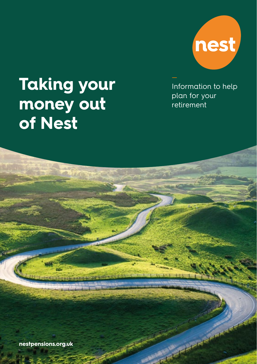

**Septiment** 

# **Taking your money out of Nest**

Information to help plan for your retirement

**[nestpensions.org.uk](http://nestpensions.org.uk)**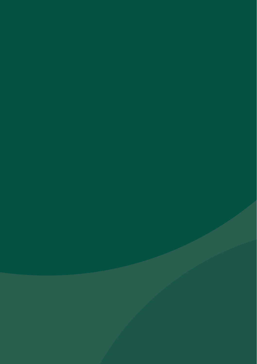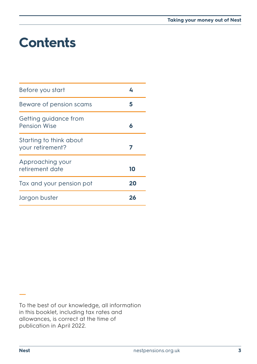# **Contents**

| Before you start                            |    |
|---------------------------------------------|----|
| Beware of pension scams                     | 5  |
| Getting guidance from<br>Pension Wise       | 6  |
| Starting to think about<br>your retirement? |    |
| Approaching your<br>retirement date         | 10 |
| Tax and your pension pot                    | 20 |
| Jargon buster                               | 26 |

To the best of our knowledge, all information in this booklet, including tax rates and allowances, is correct at the time of publication in April 2022.

—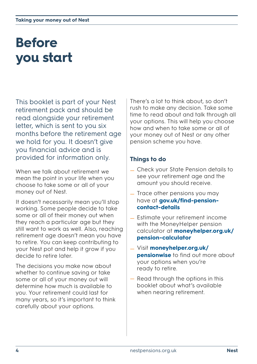# <span id="page-3-0"></span>**Before you start**

This booklet is part of your Nest retirement pack and should be read alongside your retirement letter, which is sent to you six months before the retirement age we hold for you. It doesn't give you financial advice and is provided for information only.

When we talk about retirement we mean the point in your life when you choose to take some or all of your money out of Nest.

It doesn't necessarily mean you'll stop working. Some people decide to take some or all of their money out when they reach a particular age but they still want to work as well. Also, reaching retirement age doesn't mean you have to retire. You can keep contributing to your Nest pot and help it grow if you decide to retire later.

The decisions you make now about whether to continue saving or take some or all of your money out will determine how much is available to you. Your retirement could last for many years, so it's important to think carefully about your options.

There's a lot to think about, so don't rush to make any decision. Take some time to read about and talk through all your options. This will help you choose how and when to take some or all of your money out of Nest or any other pension scheme you have.

#### **Things to do**

- Check your State Pension details to see your retirement age and the amount you should receive.
- Trace other pensions you may have at **[gov.uk/find-pension](https://www.gov.uk/find-pension-contact-details)[contact-details](https://www.gov.uk/find-pension-contact-details)**
- Estimate your retirement income with the MoneyHelper pension calculator at **[moneyhelper.org.uk/](https://www.moneyhelper.org.uk/pension-calculator) [pension-calculator](https://www.moneyhelper.org.uk/pension-calculator)**
- Visit **[moneyhelper.org.uk/](http://moneyhelper.org.uk/pensionwise) [pensionwise](http://moneyhelper.org.uk/pensionwise)** to find out more about your options when you're ready to retire.
- Read through the options in this booklet about what's available when nearing retirement.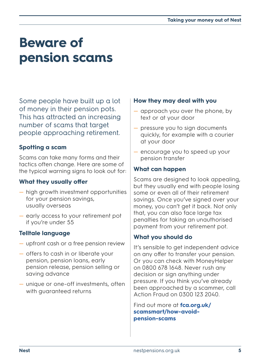# <span id="page-4-1"></span><span id="page-4-0"></span>**Beware of pension scams**

Some people have built up a lot of money in their pension pots. This has attracted an increasing number of scams that target people approaching retirement.

#### **Spotting a scam**

Scams can take many forms and their tactics often change. Here are some of the typical warning signs to look out for:

#### **What they usually offer**

- $-$  high growth investment opportunities for your pension savings, usually overseas
- early access to your retirement pot if you're under 55

#### **Telltale language**

- upfront cash or a free pension review
- offers to cash in or liberate your pension, pension loans, early pension release, pension selling or saving advance
- unique or one-off investments, often with guaranteed returns

#### **How they may deal with you**

- approach you over the phone, by text or at your door
- pressure you to sign documents quickly, for example with a courier at your door
- encourage you to speed up your pension transfer

#### **What can happen**

Scams are designed to look appealing, but they usually end with people losing some or even all of their retirement savings. Once you've signed over your money, you can't get it back. Not only that, you can also face large tax penalties for taking an unauthorised payment from your retirement pot.

#### **What you should do**

It's sensible to get independent advice on any offer to transfer your pension. Or you can check with MoneyHelper on 0800 678 1648. Never rush any decision or sign anything under pressure. If you think you've already been approached by a scammer, call Action Fraud on 0300 123 2040.

Find out more at **[fca.org.uk/](http://www.fca.org.uk/scamsmart/how-avoid-pension-scams) [scamsmart/how-avoid](http://www.fca.org.uk/scamsmart/how-avoid-pension-scams)[pension-scams](http://www.fca.org.uk/scamsmart/how-avoid-pension-scams)**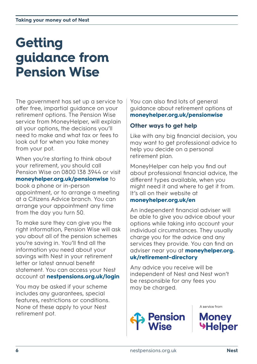# <span id="page-5-1"></span><span id="page-5-0"></span>**Getting guidance from Pension Wise**

The government has set up a service to offer free, impartial guidance on your retirement options. The Pension Wise service from MoneyHelper, will explain all your options, the decisions you'll need to make and what tax or fees to look out for when you take money from your pot.

When you're starting to think about your retirement, you should call Pension Wise on 0800 138 3944 or visit **[moneyhelper.org.uk/pensionwise](http://moneyhelper.org.uk/pensionwise)** to book a phone or in-person appointment, or to arrange a meeting at a Citizens Advice branch. You can arrange your appointment any time from the day you turn 50.

To make sure they can give you the right information, Pension Wise will ask you about all of the pension schemes you're saving in. You'll find all the information you need about your savings with Nest in your retirement letter or latest annual benefit statement. You can access your Nest account at **[nestpensions.org.uk/login](http://nestpensions.org.uk/login)**

You may be asked if your scheme includes any guarantees, special features, restrictions or conditions. None of these apply to your Nest retirement pot.

You can also find lots of general guidance about retirement options at **[moneyhelper.org.uk/pensionwise](http://moneyhelper.org.uk/pensionwise)**

#### **Other ways to get help**

Like with any big financial decision, you may want to get professional advice to help you decide on a personal retirement plan.

MoneyHelper can help you find out about professional financial advice, the different types available, when you might need it and where to get it from. It's all on their website at **[moneyhelper.org.uk/en](http://moneyhelper.org.uk/en)**

An independent financial adviser will be able to give you advice about your options while taking into account your individual circumstances. They usually charge you for the advice and any services they provide. You can find an adviser near you at **[moneyhelper.org.](http://moneyhelper.org.uk/retirement-directory) [uk/retirement-directory](http://moneyhelper.org.uk/retirement-directory)**

Any advice you receive will be independent of Nest and Nest won't be responsible for any fees you may be charged.



A service from

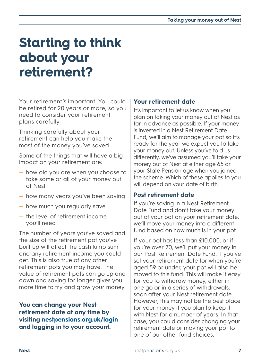# <span id="page-6-0"></span>**Starting to think about your retirement?**

Your retirement's important. You could be retired for 20 years or more, so you need to consider your retirement plans carefully.

Thinking carefully about your retirement can help you make the most of the money you've saved.

Some of the things that will have a big impact on your retirement are:

- how old you are when you choose to take some or all of your money out of Nest
- how many years you've been saving
- how much you regularly save
- the level of retirement income you'll need

The number of years you've saved and the size of the retirement pot you've built up will affect the cash lump sum and any retirement income you could get. This is also true of any other retirement pots you may have. The value of retirement pots can go up and down and saving for longer gives you more time to try and grow your money.

#### **You can change your Nest retirement date at any time by visiting [nestpensions.org.uk/login](http://nestpensions.org.uk/login) and logging in to your account.**

### **Your retirement date**

It's important to let us know when you plan on taking your money out of Nest as far in advance as possible. If your money is invested in a Nest Retirement Date Fund, we'll aim to manage your pot so it's ready for the year we expect you to take your money out. Unless you've told us differently, we've assumed you'll take your money out of Nest at either age 65 or your State Pension age when you joined the scheme. Which of these applies to you will depend on your date of birth.

#### **Post retirement date**

If you're saving in a Nest Retirement Date Fund and don't take your money out of your pot on your retirement date, we'll move your money into a different fund based on how much is in your pot.

If your pot has less than £10,000, or if you're over 70, we'll put your money in our Post Retirement Date Fund. If you've set your retirement date for when you're aged 59 or under, your pot will also be moved to this fund. This will make it easy for you to withdraw money, either in one go or in a series of withdrawals, soon after your Nest retirement date. However, this may not be the best place for your money if you plan to keep it with Nest for a number of years. In that case, you could consider changing your retirement date or moving your pot to one of our other fund choices.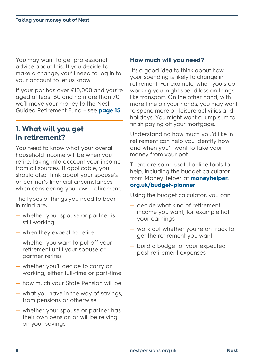You may want to get professional advice about this. If you decide to make a change, you'll need to log in to your account to let us know.

If your pot has over £10,000 and you're aged at least 60 and no more than 70, we'll move your money to the Nest Guided Retirement Fund – see **[page 15](#page-14-0)**.

### **1. What will you get in retirement?**

You need to know what your overall household income will be when you retire, taking into account your income from all sources. If applicable, you should also think about your spouse's or partner's financial circumstances when considering your own retirement.

The types of things you need to bear in mind are:

- whether your spouse or partner is still working
- when they expect to retire
- whether you want to put off your retirement until your spouse or partner retires
- whether you'll decide to carry on working, either full-time or part-time
- how much your State Pension will be
- what you have in the way of savings, from pensions or otherwise
- whether your spouse or partner has their own pension or will be relying on your savings

#### **How much will you need?**

It's a good idea to think about how your spending is likely to change in retirement. For example, when you stop working you might spend less on things like transport. On the other hand, with more time on your hands, you may want to spend more on leisure activities and holidays. You might want a lump sum to finish paying off your mortgage.

Understanding how much you'd like in retirement can help you identify how and when you'll want to take your money from your pot.

There are some useful online tools to help, including the budget calculator from MoneyHelper at **[moneyhelper.](http://moneyhelper.org.uk/budget-planner) [org.uk/budget-planner](http://moneyhelper.org.uk/budget-planner)**

Using the budget calculator, you can:

- decide what kind of retirement income you want, for example half your earnings
- work out whether you're on track to get the retirement you want
- build a budget of your expected post retirement expenses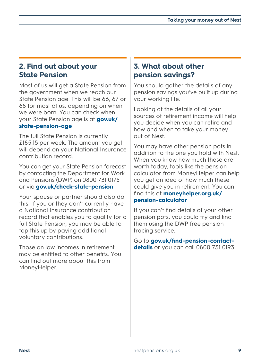# **2. Find out about your State Pension**

Most of us will get a State Pension from the government when we reach our State Pension age. This will be 66, 67 or 68 for most of us, depending on when we were born. You can check when your State Pension age is at **[gov.uk/](http://gov.uk/state-pension-age) [state-pension-age](http://gov.uk/state-pension-age)**

The full State Pension is currently £185.15 per week. The amount you get will depend on your National Insurance contribution record.

You can get your State Pension forecast by contacting the Department for Work and Pensions (DWP) on 0800 731 0175 or via **[gov.uk/check-state-pension](http://gov.uk/check-state-pension)** 

Your spouse or partner should also do this. If you or they don't currently have a National Insurance contribution record that enables you to qualify for a full State Pension, you may be able to top this up by paying additional voluntary contributions.

Those on low incomes in retirement may be entitled to other benefits. You can find out more about this from MoneyHelper.

# **3. What about other pension savings?**

You should gather the details of any pension savings you've built up during your working life.

Looking at the details of all your sources of retirement income will help you decide when you can retire and how and when to take your money out of Nest.

You may have other pension pots in addition to the one you hold with Nest. When you know how much these are worth today, tools like the pension calculator from MoneyHelper can help you get an idea of how much these could give you in retirement. You can find this at **[moneyhelper.org.uk/](http://moneyhelper.org.uk/pension-calculator) [pension-calculator](http://moneyhelper.org.uk/pension-calculator)**

If you can't find details of your other pension pots, you could try and find them using the DWP free pension tracing service.

Go to **[gov.uk/find-pension-contact](http://gov.uk/find-pension-contact-details)[details](http://gov.uk/find-pension-contact-details)** or you can call 0800 731 0193.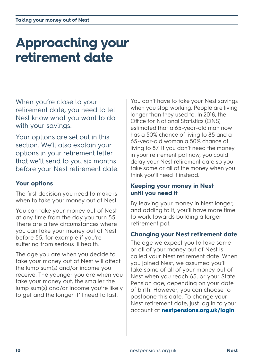# <span id="page-9-0"></span>**Approaching your retirement date**

When you're close to your retirement date, you need to let Nest know what you want to do with your savings.

Your options are set out in this section. We'll also explain your options in your retirement letter that we'll send to you six months before your Nest retirement date.

#### **Your options**

The first decision you need to make is when to take your money out of Nest.

You can take your money out of Nest at any time from the day you turn 55. There are a few circumstances where you can take your money out of Nest before 55, for example if you're suffering from serious ill health.

The age you are when you decide to take your money out of Nest will affect the lump sum(s) and/or income you receive. The younger you are when you take your money out, the smaller the lump sum(s) and/or income you're likely to get and the longer it'll need to last.

You don't have to take your Nest savings when you stop working. People are living longer than they used to. In 2018, the Office for National Statistics (ONS) estimated that a 65-year-old man now has a 50% chance of living to 85 and a 65-year-old woman a 50% chance of living to 87. If you don't need the money in your retirement pot now, you could delay your Nest retirement date so you take some or all of the money when you think you'll need it instead.

#### **Keeping your money in Nest until you need it**

By leaving your money in Nest longer, and adding to it, you'll have more time to work towards building a larger retirement pot.

#### **Changing your Nest retirement date**

The age we expect you to take some or all of your money out of Nest is called your Nest retirement date. When you joined Nest, we assumed you'll take some of all of your money out of Nest when you reach 65, or your State Pension age, depending on your date of birth. However, you can choose to postpone this date. To change your Nest retirement date, just log in to your account at **[nestpensions.org.uk/login](https://nestpensions.org.uk/schemeweb/NestWeb/faces/public/MUA/pages/loginPage.xhtml)**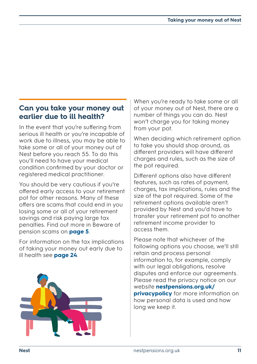# **Can you take your money out earlier due to ill health?**

In the event that you're suffering from serious ill health or you're incapable of work due to illness, you may be able to take some or all of your money out of Nest before you reach 55. To do this you'll need to have your medical condition confirmed by your doctor or registered medical practitioner.

You should be very cautious if you're offered early access to your retirement pot for other reasons. Many of these offers are scams that could end in you losing some or all of your retirement savings and risk paying large tax penalties. Find out more in Beware of pension scams on **[page 5](#page-4-1)**.

For information on the tax implications of taking your money out early due to ill health see **[page 24](#page-23-0)**.



When you're ready to take some or all of your money out of Nest, there are a number of things you can do. Nest won't charge you for taking money from your pot.

When deciding which retirement option to take you should shop around, as different providers will have different charges and rules, such as the size of the pot required.

Different options also have different features, such as rates of payment, charges, tax implications, rules and the size of the pot required. Some of the retirement options available aren't provided by Nest and you'd have to transfer your retirement pot to another retirement income provider to access them.

Please note that whichever of the following options you choose, we'll still retain and process personal information to, for example, comply with our legal obligations, resolve disputes and enforce our agreements. Please read the privacy notice on our website **[nestpensions.org.uk/](http://www.nestpensions.org.uk/privacypolicy)**

**[privacypolicy](http://www.nestpensions.org.uk/privacypolicy)** for more information on how personal data is used and how long we keep it.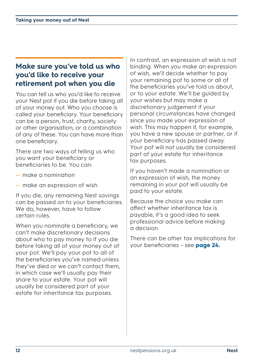# <span id="page-11-0"></span>**Make sure you've told us who you'd like to receive your retirement pot when you die**

You can tell us who you'd like to receive your Nest pot if you die before taking all of your money out. Who you choose is called your beneficiary. Your beneficiary can be a person, trust, charity, society or other organisation, or a combination of any of these. You can have more than one beneficiary.

There are two ways of telling us who you want your beneficiary or beneficiaries to be. You can:

- make a nomination
- make an expression of wish

If you die, any remaining Nest savings can be passed on to your beneficiaries. We do, however, have to follow certain rules.

When you nominate a beneficiary, we can't make discretionary decisions about who to pay money to if you die before taking all of your money out of your pot. We'll pay your pot to all of the beneficiaries you've named unless they've died or we can't contact them, in which case we'll usually pay their share to your estate. Your pot will usually be considered part of your estate for inheritance tax purposes.

In contrast, an expression of wish is not binding. When you make an expression of wish, we'll decide whether to pay your remaining pot to some or all of the beneficiaries you've told us about, or to your estate. We'll be guided by your wishes but may make a discretionary judgement if your personal circumstances have changed since you made your expression of wish. This may happen if, for example, you have a new spouse or partner, or if your beneficiary has passed away. Your pot will not usually be considered part of your estate for inheritance tax purposes.

If you haven't made a nomination or an expression of wish, the money remaining in your pot will usually be paid to your estate.

Because the choice you make can affect whether inheritance tax is payable, it's a good idea to seek professional advice before making a decision.

There can be other tax implications for your beneficiaries – see **[page 24.](#page-23-1)**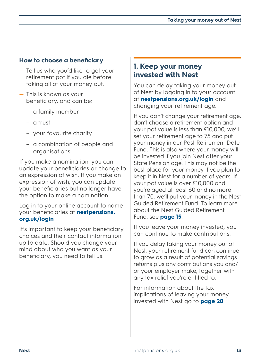# **How to choose a beneficiary**

- Tell us who you'd like to get your retirement pot if you die before taking all of your money out.
- This is known as your beneficiary, and can be:
	- a family member
	- a trust
	- your favourite charity
	- a combination of people and organisations

If you make a nomination, you can update your beneficiaries or change to an expression of wish. If you make an expression of wish, you can update your beneficiaries but no longer have the option to make a nomination.

Log in to your online account to name your beneficiaries at **n[estpensions.](http://www.nestpensions.org.uk/login) [org.uk/login](http://www.nestpensions.org.uk/login)**

It's important to keep your beneficiary choices and their contact information up to date. Should you change your mind about who you want as your beneficiary, you need to tell us.

# **1. Keep your money invested with Nest**

You can delay taking your money out of Nest by logging in to your account at **[nestpensions.org.uk/login](http://nestpensions.org.uk/login)** and changing your retirement age.

If you don't change your retirement age, don't choose a retirement option and your pot value is less than £10,000, we'll set your retirement age to 75 and put your money in our Post Retirement Date Fund. This is also where your money will be invested if you join Nest after your State Pension age. This may not be the best place for your money if you plan to keep it in Nest for a number of years. If your pot value is over £10,000 and you're aged at least 60 and no more than 70, we'll put your money in the Nest Guided Retirement Fund. To learn more about the Nest Guided Retirement Fund, see **[page 15](#page-14-1)**.

If you leave your money invested, you can continue to make contributions.

If you delay taking your money out of Nest, your retirement fund can continue to grow as a result of potential savings returns plus any contributions you and/ or your employer make, together with any tax relief you're entitled to.

For information about the tax implications of leaving your money invested with Nest go to **[page 20](#page-19-1)**.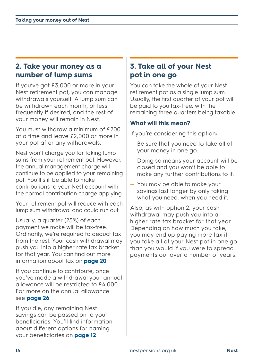# **2. Take your money as a number of lump sums**

If you've got £3,000 or more in your Nest retirement pot, you can manage withdrawals yourself. A lump sum can be withdrawn each month, or less frequently if desired, and the rest of your money will remain in Nest.

You must withdraw a minimum of £200 at a time and leave £2,000 or more in your pot after any withdrawals.

Nest won't charge you for taking lump sums from your retirement pot. However, the annual management charge will continue to be applied to your remaining pot. You'll still be able to make contributions to your Nest account with the normal contribution charge applying.

Your retirement pot will reduce with each lump sum withdrawal and could run out.

Usually, a quarter (25%) of each payment we make will be tax-free. Ordinarily, we're required to deduct tax from the rest. Your cash withdrawal may push you into a higher rate tax bracket for that year. You can find out more information about tax on **[page 20](#page-19-2)**.

If you continue to contribute, once you've made a withdrawal your annual allowance will be restricted to £4,000. For more on the annual allowance see **[page 26](#page-25-1)**.

If you die, any remaining Nest savings can be passed on to your beneficiaries. You'll find information about different options for naming your beneficiaries on **[page 12](#page-11-0)**.

# **3. Take all of your Nest pot in one go**

You can take the whole of your Nest retirement pot as a single lump sum. Usually, the first quarter of your pot will be paid to you tax-free, with the remaining three quarters being taxable.

#### **What will this mean?**

If you're considering this option:

- Be sure that you need to take all of your money in one go.
- Doing so means your account will be closed and you won't be able to make any further contributions to it.
- You may be able to make your savings last longer by only taking what you need, when you need it.

Also, as with option 2, your cash withdrawal may push you into a higher rate tax bracket for that year. Depending on how much you take, you may end up paying more tax if you take all of your Nest pot in one go than you would if you were to spread payments out over a number of years.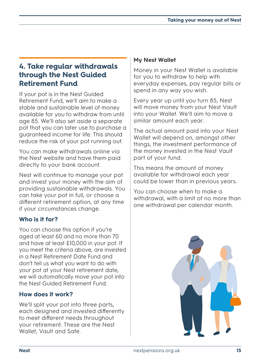# <span id="page-14-1"></span><span id="page-14-0"></span>**4. Take regular withdrawals through the Nest Guided Retirement Fund**

If your pot is in the Nest Guided Retirement Fund, we'll aim to make a stable and sustainable level of money available for you to withdraw from until age 85. We'll also set aside a separate pot that you can later use to purchase a guaranteed income for life. This should reduce the risk of your pot running out.

You can make withdrawals online via the Nest website and have them paid directly to your bank account.

Nest will continue to manage your pot and invest your money with the aim of providing sustainable withdrawals. You can take your pot in full, or choose a different retirement option, at any time if your circumstances change.

### **Who is it for?**

You can choose this option if you're aged at least 60 and no more than 70 and have at least £10,000 in your pot. If you meet the criteria above, are invested in a Nest Retirement Date Fund and don't tell us what you want to do with your pot at your Nest retirement date, we will automatically move your pot into the Nest Guided Retirement Fund.

#### **How does it work?**

We'll split your pot into three parts, each designed and invested differently to meet different needs throughout your retirement. These are the Nest Wallet, Vault and Safe.

#### **My Nest Wallet**

Money in your Nest Wallet is available for you to withdraw to help with everyday expenses, pay regular bills or spend in any way you wish.

Every year up until you turn 85, Nest will move money from your Nest Vault into your Wallet. We'll aim to move a similar amount each year.

The actual amount paid into your Nest Wallet will depend on, amongst other things, the investment performance of the money invested in the Nest Vault part of your fund.

This means the amount of money available for withdrawal each year could be lower than in previous years.

You can choose when to make a withdrawal, with a limit of no more than one withdrawal per calendar month.

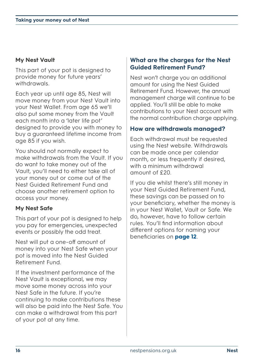#### **My Nest Vault**

This part of your pot is designed to provide money for future years' withdrawals.

Each year up until age 85, Nest will move money from your Nest Vault into your Nest Wallet. From age 65 we'll also put some money from the Vault each month into a 'later life pot' designed to provide you with money to buy a guaranteed lifetime income from age 85 if you wish.

You should not normally expect to make withdrawals from the Vault. If you do want to take money out of the Vault, you'll need to either take all of your money out or come out of the Nest Guided Retirement Fund and choose another retirement option to access your money.

#### **My Nest Safe**

This part of your pot is designed to help you pay for emergencies, unexpected events or possibly the odd treat.

Nest will put a one-off amount of money into your Nest Safe when your pot is moved into the Nest Guided Retirement Fund.

If the investment performance of the Nest Vault is exceptional, we may move some money across into your Nest Safe in the future. If you're continuing to make contributions these will also be paid into the Nest Safe. You can make a withdrawal from this part of your pot at any time.

#### **What are the charges for the Nest Guided Retirement Fund?**

Nest won't charge you an additional amount for using the Nest Guided Retirement Fund. However, the annual management charge will continue to be applied. You'll still be able to make contributions to your Nest account with the normal contribution charge applying.

#### **How are withdrawals managed?**

Each withdrawal must be requested using the Nest website. Withdrawals can be made once per calendar month, or less frequently if desired, with a minimum withdrawal amount of £20.

If you die whilst there's still money in your Nest Guided Retirement Fund, these savings can be passed on to your beneficiary, whether the money is in your Nest Wallet, Vault or Safe. We do, however, have to follow certain rules. You'll find information about different options for naming your beneficiaries on **[page 12](#page-11-0)**.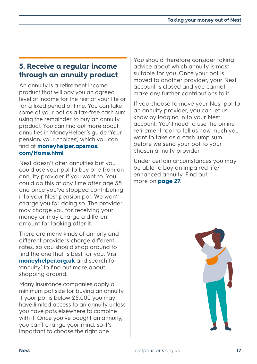# **5. Receive a regular income through an annuity product**

An annuity is a retirement income product that will pay you an agreed level of income for the rest of your life or for a fixed period of time. You can take some of your pot as a tax-free cash sum using the remainder to buy an annuity product. You can find out more about annuities in MoneyHelper's guide 'Your pension: your choices', which you can find at **[moneyhelper.apsmos.](https://moneyhelper.apsmos.com/Home.html) [com/Home.html](https://moneyhelper.apsmos.com/Home.html)**

Nest doesn't offer annuities but you could use your pot to buy one from an annuity provider if you want to. You could do this at any time after age 55 and once you've stopped contributing into your Nest pension pot. We won't charge you for doing so. The provider may charge you for receiving your money or may charge a different amount for looking after it.

There are many kinds of annuity and different providers charge different rates, so you should shop around to find the one that is best for you. Visit **[moneyhelper.org.uk](http://MoneyHelper.org.uk)** and search for 'annuity' to find out more about shopping around.

Many insurance companies apply a minimum pot size for buying an annuity. If your pot is below £5,000 you may have limited access to an annuity unless you have pots elsewhere to combine with it. Once you've bought an annuity, you can't change your mind, so it's important to choose the right one.

You should therefore consider taking advice about which annuity is most suitable for you. Once your pot is moved to another provider, your Nest account is closed and you cannot make any further contributions to it.

If you choose to move your Nest pot to an annuity provider, you can let us know by logging in to your Nest account. You'll need to use the online retirement tool to tell us how much you want to take as a cash lump sum before we send your pot to your chosen annuity provider.

Under certain circumstances you may be able to buy an impaired life/ enhanced annuity. Find out more on **[page 27](#page-26-0)**.

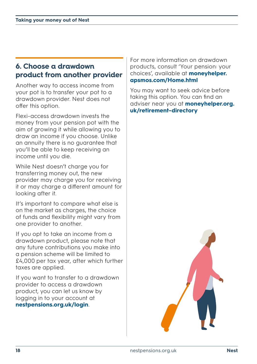# **6. Choose a drawdown product from another provider**

Another way to access income from your pot is to transfer your pot to a drawdown provider. Nest does not offer this option.

Flexi-access drawdown invests the money from your pension pot with the aim of growing it while allowing you to draw an income if you choose. Unlike an annuity there is no guarantee that you'll be able to keep receiving an income until you die.

While Nest doesn't charge you for transferring money out, the new provider may charge you for receiving it or may charge a different amount for looking after it.

It's important to compare what else is on the market as charges, the choice of funds and flexibility might vary from one provider to another.

If you opt to take an income from a drawdown product, please note that any future contributions you make into a pension scheme will be limited to £4,000 per tax year, after which further taxes are applied.

If you want to transfer to a drawdown provider to access a drawdown product, you can let us know by logging in to your account at **[nestpensions.org.uk/login](https://nestpensions.org.uk/schemeweb/NestWeb/faces/public/MUA/pages/loginPage.xhtml)**.

For more information on drawdown products, consult 'Your pension: your choices', available at **[moneyhelper.](http://moneyhelper.apsmos.com/Home.html) [apsmos.com/Home.html](http://moneyhelper.apsmos.com/Home.html)**

You may want to seek advice before taking this option. You can find an adviser near you at **[moneyhelper.org.](http://moneyhelper.org.uk/retirement-directory) [uk/retirement-directory](http://moneyhelper.org.uk/retirement-directory)**

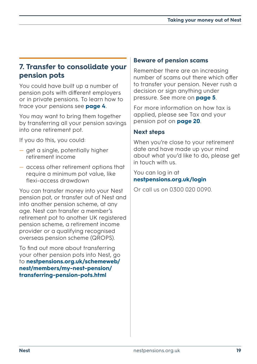# **7. Transfer to consolidate your pension pots**

You could have built up a number of pension pots with different employers or in private pensions. To learn how to trace your pensions see **[page 4](#page-3-0)**.

You may want to bring them together by transferring all your pension savings into one retirement pot.

If you do this, you could:

- get a single, potentially higher retirement income
- access other retirement options that require a minimum pot value, like flexi-access drawdown

You can transfer money into your Nest pension pot, or transfer out of Nest and into another pension scheme, at any age. Nest can transfer a member's retirement pot to another UK registered pension scheme, a retirement income provider or a qualifying recognised overseas pension scheme (QROPS).

To find out more about transferring your other pension pots into Nest, go to **[nestpensions.org.uk/schemeweb/](https://nestpensions.org.uk/schemeweb/nest/members/my-nest-pension/transferring-pension-pots.html) [nest/members/my-nest-pension/](https://nestpensions.org.uk/schemeweb/nest/members/my-nest-pension/transferring-pension-pots.html) [transferring-pension-pots.html](https://nestpensions.org.uk/schemeweb/nest/members/my-nest-pension/transferring-pension-pots.html)**

# **Beware of pension scams**

Remember there are an increasing number of scams out there which offer to transfer your pension. Never rush a decision or sign anything under pressure. See more on **[page 5](#page-4-1)**.

For more information on how tax is applied, please see Tax and your pension pot on **[page 20](#page-19-2)**.

#### **Next steps**

When you're close to your retirement date and have made up your mind about what you'd like to do, please get in touch with us.

You can log in at **n[estpensions.org.uk/](http://nestpensions.org.uk/login)login**

Or call us on 0300 020 0090.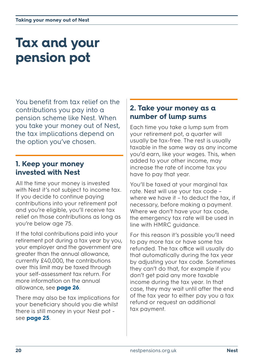# <span id="page-19-2"></span><span id="page-19-0"></span>**Tax and your pension pot**

You benefit from tax relief on the contributions you pay into a pension scheme like Nest. When you take your money out of Nest, the tax implications depend on the option you've chosen.

# <span id="page-19-1"></span>**1. Keep your money invested with Nest**

All the time your money is invested with Nest it's not subject to income tax. If you decide to continue paying contributions into your retirement pot and you're eligible, you'll receive tax relief on those contributions as long as you're below age 75.

If the total contributions paid into your retirement pot during a tax year by you, your employer and the government are greater than the annual allowance, currently £40,000, the contributions over this limit may be taxed through your self-assessment tax return. For more information on the annual allowance, see **[page 26](#page-25-1)**.

There may also be tax implications for your beneficiary should you die whilst there is still money in your Nest pot see **[page 25](#page-24-0)**.

# **2. Take your money as a number of lump sums**

Each time you take a lump sum from your retirement pot, a quarter will usually be tax-free. The rest is usually taxable in the same way as any income you'd earn, like your wages. This, when added to your other income, may increase the rate of income tax you have to pay that year.

You'll be taxed at your marginal tax rate. Nest will use your tax code – where we have it - to deduct the tax, if necessary, before making a payment. Where we don't have your tax code, the emergency tax rate will be used in line with HMRC guidance.

For this reason it's possible you'll need to pay more tax or have some tax refunded. The tax office will usually do that automatically during the tax year by adjusting your tax code. Sometimes they can't do that, for example if you don't get paid any more taxable income during the tax year. In that case, they may wait until after the end of the tax year to either pay you a tax refund or request an additional tax payment.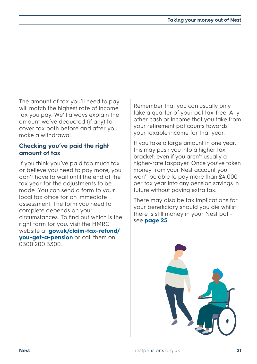The amount of tax you'll need to pay will match the highest rate of income tax you pay. We'll always explain the amount we've deducted (if any) to cover tax both before and after you make a withdrawal.

#### **Checking you've paid the right amount of tax**

If you think you've paid too much tax or believe you need to pay more, you don't have to wait until the end of the tax year for the adjustments to be made. You can send a form to your local tax office for an immediate assessment. The form you need to complete depends on your circumstances. To find out which is the right form for you, visit the HMRC website at **[gov.uk/claim-tax-refund/](http://gov.uk/claim-tax-refund/you-get-a-pension) you-get-g-pension** or call them on 0300 200 3300.

Remember that you can usually only take a quarter of your pot tax-free. Any other cash or income that you take from your retirement pot counts towards your taxable income for that year.

If you take a large amount in one year, this may push you into a higher tax bracket, even if you aren't usually a higher-rate taxpayer. Once you've taken money from your Nest account you won't be able to pay more than £4,000 per tax year into any pension savings in future without paying extra tax.

There may also be tax implications for your beneficiary should you die whilst there is still money in your Nest pot see **[page 25](#page-24-0)**.

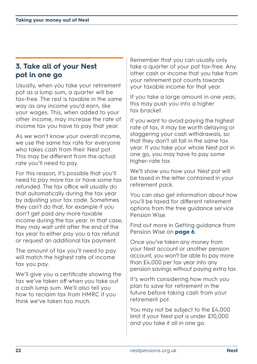# **3. Take all of your Nest pot in one go**

Usually, when you take your retirement pot as a lump sum, a quarter will be tax-free. The rest is taxable in the same way as any income you'd earn, like your wages. This, when added to your other income, may increase the rate of income tax you have to pay that year.

As we won't know your overall income, we use the same tax rate for everyone who takes cash from their Nest pot. This may be different from the actual rate you'll need to pay.

For this reason, it's possible that you'll need to pay more tax or have some tax refunded. The tax office will usually do that automatically during the tax year by adjusting your tax code. Sometimes they can't do that, for example if you don't get paid any more taxable income during the tax year. In that case, they may wait until after the end of the tax year to either pay you a tax refund or request an additional tax payment.

The amount of tax you'll need to pay will match the highest rate of income tax you pay.

We'll give you a certificate showing the tax we've taken off when you take out a cash lump sum. We'll also tell you how to reclaim tax from HMRC if you think we've taken too much.

Remember that you can usually only take a quarter of your pot tax-free. Any other cash or income that you take from your retirement pot counts towards your taxable income for that year.

If you take a large amount in one year, this may push you into a higher tax bracket.

If you want to avoid paying the highest rate of tax, it may be worth delaying or staggering your cash withdrawals, so that they don't all fall in the same tax year. If you take your whole Nest pot in one go, you may have to pay some higher-rate tax.

We'll show you how your Nest pot will be taxed in the letter contained in your retirement pack.

You can also get information about how you'll be taxed for different retirement options from the free guidance service Pension Wise.

Find out more in Getting guidance from Pension Wise on **[page 6](#page-5-1)**.

Once you've taken any money from your Nest account or another pension account, you won't be able to pay more than £4,000 per tax year into any pension savings without paying extra tax.

It's worth considering how much you plan to save for retirement in the future before taking cash from your retirement pot.

You may not be subject to the £4,000 limit if your Nest pot is under £10,000 and you take it all in one go.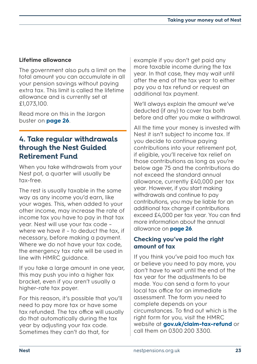### **Lifetime allowance**

The government also puts a limit on the total amount you can accumulate in all your pension savings without paying extra tax. This limit is called the lifetime allowance and is currently set at £1,073,100.

Read more on this in the Jargon buster on **[page 26](#page-25-1)**.

# **4. Take regular withdrawals through the Nest Guided Retirement Fund**

When you take withdrawals from your Nest pot, a quarter will usually be tax-free.

The rest is usually taxable in the same way as any income you'd earn, like your wages. This, when added to your other income, may increase the rate of income tax you have to pay in that tax year. Nest will use your tax code – where we have it - to deduct the tax, if necessary, before making a payment. Where we do not have your tax code, the emergency tax rate will be used in line with HMRC guidance.

If you take a large amount in one year, this may push you into a higher tax bracket, even if you aren't usually a higher-rate tax payer.

For this reason, it's possible that you'll need to pay more tax or have some tax refunded. The tax office will usually do that automatically during the tax year by adjusting your tax code. Sometimes they can't do that, for

example if you don't get paid any more taxable income during the tax year. In that case, they may wait until after the end of the tax year to either pay you a tax refund or request an additional tax payment.

We'll always explain the amount we've deducted (if any) to cover tax both before and after you make a withdrawal.

All the time your money is invested with Nest it isn't subject to income tax. If you decide to continue paying contributions into your retirement pot, if eligible, you'll receive tax relief on those contributions as long as you're below age 75 and the contributions do not exceed the standard annual allowance, currently £40,000 per tax year. However, if you start making withdrawals and continue to pay contributions, you may be liable for an additional tax charge if contributions exceed £4,000 per tax year. You can find more information about the annual allowance on **[page 26](#page-25-1)**.

### **Checking you've paid the right amount of tax**

If you think you've paid too much tax or believe you need to pay more, you don't have to wait until the end of the tax year for the adjustments to be made. You can send a form to your local tax office for an immediate assessment. The form you need to complete depends on your circumstances. To find out which is the right form for you, visit the HMRC website at **[gov.uk/claim-tax-refund](http://gov.uk/claim-tax-refund)** or call them on 0300 200 3300.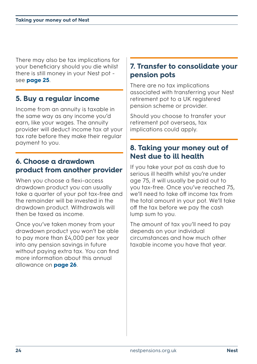<span id="page-23-1"></span>There may also be tax implications for your beneficiary should you die whilst there is still money in your Nest pot see **[page 25](#page-24-0)**.

# **5. Buy a regular income**

Income from an annuity is taxable in the same way as any income you'd earn, like your wages. The annuity provider will deduct income tax at your tax rate before they make their regular payment to you.

# **6. Choose a drawdown product from another provider**

When you choose a flexi-access drawdown product you can usually take a quarter of your pot tax-free and the remainder will be invested in the drawdown product. Withdrawals will then be taxed as income.

Once you've taken money from your drawdown product you won't be able to pay more than £4,000 per tax year into any pension savings in future without paying extra tax. You can find more information about this annual allowance on **[page 26](#page-25-0)**.

# **7. Transfer to consolidate your pension pots**

There are no tax implications associated with transferring your Nest retirement pot to a UK registered pension scheme or provider.

Should you choose to transfer your retirement pot overseas, tax implications could apply.

# <span id="page-23-0"></span>**8. Taking your money out of Nest due to ill health**

If you take your pot as cash due to serious ill health whilst you're under age 75, it will usually be paid out to you tax-free. Once you've reached 75, we'll need to take off income tax from the total amount in your pot. We'll take off the tax before we pay the cash lump sum to you.

The amount of tax you'll need to pay depends on your individual circumstances and how much other taxable income you have that year.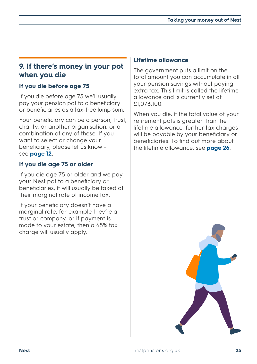# <span id="page-24-0"></span>**9. If there's money in your pot when you die**

# **If you die before age 75**

If you die before age 75 we'll usually pay your pension pot to a beneficiary or beneficiaries as a tax-free lump sum.

Your beneficiary can be a person, trust, charity, or another organisation, or a combination of any of these. If you want to select or change your beneficiary, please let us know – see **[page 12](#page-11-0)**.

# **If you die age 75 or older**

If you die age 75 or older and we pay your Nest pot to a beneficiary or beneficiaries, it will usually be taxed at their marginal rate of income tax.

If your beneficiary doesn't have a marginal rate, for example they're a trust or company, or if payment is made to your estate, then a 45% tax charge will usually apply.

### **Lifetime allowance**

The government puts a limit on the total amount you can accumulate in all your pension savings without paying extra tax. This limit is called the lifetime allowance and is currently set at £1,073,100.

When you die, if the total value of your retirement pots is greater than the lifetime allowance, further tax charges will be payable by your beneficiary or beneficiaries. To find out more about the lifetime allowance, see **[page 26](#page-25-0)**.

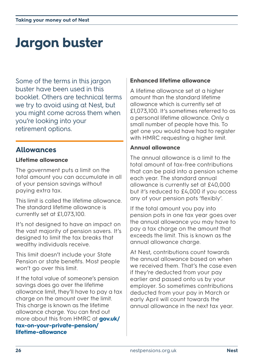# <span id="page-25-1"></span><span id="page-25-0"></span>**Jargon buster**

Some of the terms in this jargon buster have been used in this booklet. Others are technical terms we try to avoid using at Nest, but you might come across them when you're looking into your retirement options.

# **Allowances**

#### **Lifetime allowance**

The government puts a limit on the total amount you can accumulate in all of your pension savings without paying extra tax.

This limit is called the lifetime allowance. The standard lifetime allowance is currently set at £1,073,100.

It's not designed to have an impact on the vast majority of pension savers. It's designed to limit the tax breaks that wealthy individuals receive.

This limit doesn't include your State Pension or state benefits. Most people won't go over this limit.

If the total value of someone's pension savings does go over the lifetime allowance limit, they'll have to pay a tax charge on the amount over the limit. This charge is known as the lifetime allowance charge. You can find out more about this from HMRC at **[gov.uk/](http://gov.uk/tax-on-your-private-pension/lifetime-allowance)**

#### **[tax-on-your-private-pension/](http://gov.uk/tax-on-your-private-pension/lifetime-allowance) [lifetime-allowance](http://gov.uk/tax-on-your-private-pension/lifetime-allowance)**

#### **Enhanced lifetime allowance**

A lifetime allowance set at a higher amount than the standard lifetime allowance which is currently set at £1,073,100. It's sometimes referred to as a personal lifetime allowance. Only a small number of people have this. To get one you would have had to register with HMRC requesting a higher limit.

#### **Annual allowance**

The annual allowance is a limit to the total amount of tax-free contributions that can be paid into a pension scheme each year. The standard annual allowance is currently set at £40,000 but it's reduced to £4,000 if you access any of your pension pots 'flexibly'.

If the total amount you pay into pension pots in one tax year goes over the annual allowance you may have to pay a tax charge on the amount that exceeds the limit. This is known as the annual allowance charge.

At Nest, contributions count towards the annual allowance based on when we received them. That's the case even if they're deducted from your pay earlier and passed onto us by your employer. So sometimes contributions deducted from your pay in March or early April will count towards the annual allowance in the next tax year.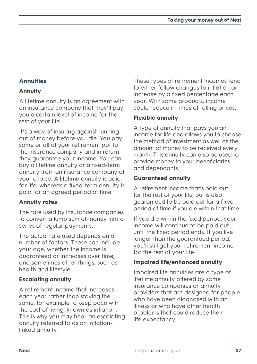#### **Annuities**

#### **Annuity**

A lifetime annuity is an agreement with an insurance company that they'll pay you a certain level of income for the rest of your life.

It's a way of insuring against running out of money before you die. You pay some or all of your retirement pot to the insurance company and in return they guarantee your income. You can buy a lifetime annuity or a fixed-term annuity from an insurance company of your choice. A lifetime annuity is paid for life, whereas a fixed-term annuity is paid for an agreed period of time.

#### **Annuity rates**

The rate used by insurance companies to convert a lump sum of money into a series of regular payments.

The actual rate used depends on a number of factors. These can include your age, whether the income is guaranteed or increases over time, and sometimes other things, such as health and lifestyle.

#### **Escalating annuity**

A retirement income that increases each year rather than staying the same, for example to keep pace with the cost of living, known as inflation. This is why you may hear an escalating annuity referred to as an inflationlinked annuity.

These types of retirement incomes tend to either follow changes to inflation or increase by a fixed percentage each year. With some products, income could reduce in times of falling prices.

#### **Flexible annuity**

A type of annuity that pays you an income for life and allows you to choose the method of investment as well as the amount of money to be received every month. This annuity can also be used to provide money to your beneficiaries and dependants.

#### **Guaranteed annuity**

A retirement income that's paid out for the rest of your life, but is also guaranteed to be paid out for a fixed period of time if you die within that time.

If you die within the fixed period, your income will continue to be paid out until the fixed period ends. If you live longer than the guaranteed period, you'll still get your retirement income for the rest of your life.

#### <span id="page-26-0"></span>**Impaired life/enhanced annuity**

Impaired life annuities are a type of lifetime annuity offered by some insurance companies or annuity providers that are designed for people who have been diagnosed with an illness or who have other health problems that could reduce their life expectancy.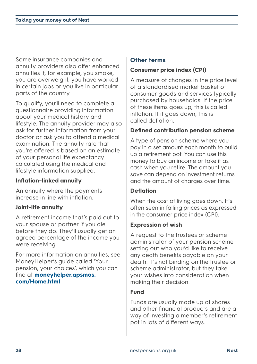Some insurance companies and annuity providers also offer enhanced annuities if, for example, you smoke, you are overweight, you have worked in certain jobs or you live in particular parts of the country.

To qualify, you'll need to complete a questionnaire providing information about your medical history and lifestyle. The annuity provider may also ask for further information from your doctor or ask you to attend a medical examination. The annuity rate that you're offered is based on an estimate of your personal life expectancy calculated using the medical and lifestyle information supplied.

#### **Inflation-linked annuity**

An annuity where the payments increase in line with inflation.

#### **Joint-life annuity**

A retirement income that's paid out to your spouse or partner if you die before they do. They'll usually get an agreed percentage of the income you were receiving.

For more information on annuities, see MoneyHelper's guide called 'Your pension, your choices', which you can find at **[moneyhelper.apsmos.](http://moneyhelper.apsmos.com/Home.html) [com/Home.html](http://moneyhelper.apsmos.com/Home.html)**

#### **Other terms**

#### **Consumer price index (CPI)**

A measure of changes in the price level of a standardised market basket of consumer goods and services typically purchased by households. If the price of these items goes up, this is called inflation. If it goes down, this is called deflation.

#### **Defined contribution pension scheme**

A type of pension scheme where you pay in a set amount each month to build up a retirement pot. You can use this money to buy an income or take it as cash when you retire. The amount you save can depend on investment returns and the amount of charges over time.

#### **Deflation**

When the cost of living goes down. It's often seen in falling prices as expressed in the consumer price index (CPI).

#### **Expression of wish**

A request to the trustees or scheme administrator of your pension scheme setting out who you'd like to receive any death benefits payable on your death. It's not binding on the trustee or scheme administrator, but they take your wishes into consideration when making their decision.

#### **Fund**

Funds are usually made up of shares and other financial products and are a way of investing a member's retirement pot in lots of different ways.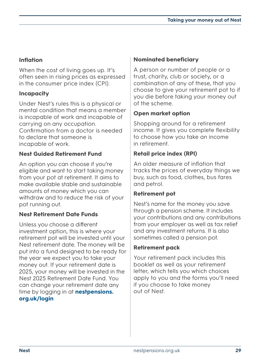# **Inflation**

When the cost of living goes up. It's often seen in rising prices as expressed in the consumer price index (CPI).

# **Incapacity**

Under Nest's rules this is a physical or mental condition that means a member is incapable of work and incapable of carrying on any occupation. Confirmation from a doctor is needed to declare that someone is incapable of work.

### **Nest Guided Retirement Fund**

An option you can choose if you're eligible and want to start taking money from your pot at retirement. It aims to make available stable and sustainable amounts of money which you can withdraw and to reduce the risk of your pot running out.

# **Nest Retirement Date Funds**

Unless you choose a different investment option, this is where your retirement pot will be invested until your Nest retirement date. The money will be put into a fund designed to be ready for the year we expect you to take your money out. If your retirement date is 2025, your money will be invested in the Nest 2025 Retirement Date Fund. You can change your retirement date any time by logging in at **n[estpensions.](http://nestpensions.org.uk/login) [org.uk/login](http://nestpensions.org.uk/login)**

# **Nominated beneficiary**

A person or number of people or a trust, charity, club or society, or a combination of any of these, that you choose to give your retirement pot to if you die before taking your money out of the scheme.

# **Open market option**

Shopping around for a retirement income. It gives you complete flexibility to choose how you take an income in retirement.

# **Retail price index (RPI)**

An older measure of inflation that tracks the prices of everyday things we buy, such as food, clothes, bus fares and petrol.

#### **Retirement pot**

Nest's name for the money you save through a pension scheme. It includes your contributions and any contributions from your employer as well as tax relief and any investment returns. It is also sometimes called a pension pot.

### **Retirement pack**

Your retirement pack includes this booklet as well as your retirement letter, which tells you which choices apply to you and the forms you'll need if you choose to take money out of Nest.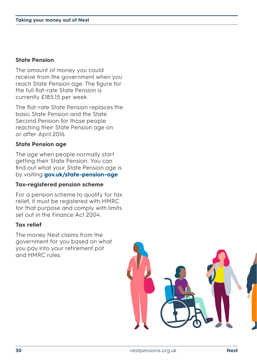#### **State Pension**

The amount of money you could receive from the government when you reach State Pension age. The figure for the full flat-rate State Pension is currently £185.15 per week.

The flat-rate State Pension replaces the basic State Pension and the State Second Pension for those people reaching their State Pension age on or after April 2016.

#### **State Pension age**

The age when people normally start getting their State Pension. You can find out what your State Pension age is by visiting **[gov.uk/state-pension-age](http://gov.uk/state-pension-age)**

#### **Tax-registered pension scheme**

For a pension scheme to qualify for tax relief, it must be registered with HMRC for that purpose and comply with limits set out in the Finance Act 2004.

#### **Tax relief**

The money Nest claims from the government for you based on what you pay into your retirement pot and HMRC rules.

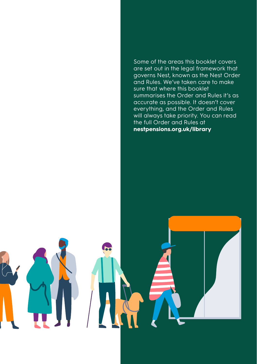Some of the areas this booklet covers are set out in the legal framework that governs Nest, known as the Nest Order and Rules. We've taken care to make sure that where this booklet summarises the Order and Rules it's as accurate as possible. It doesn't cover everything, and the Order and Rules will always take priority. You can read the full Order and Rules at **[nestpensions.org.uk/](https://www.nestpensions.org.uk/schemeweb/nest/nestcorporation/how-nest-is-run/order-and-rules.html)library**